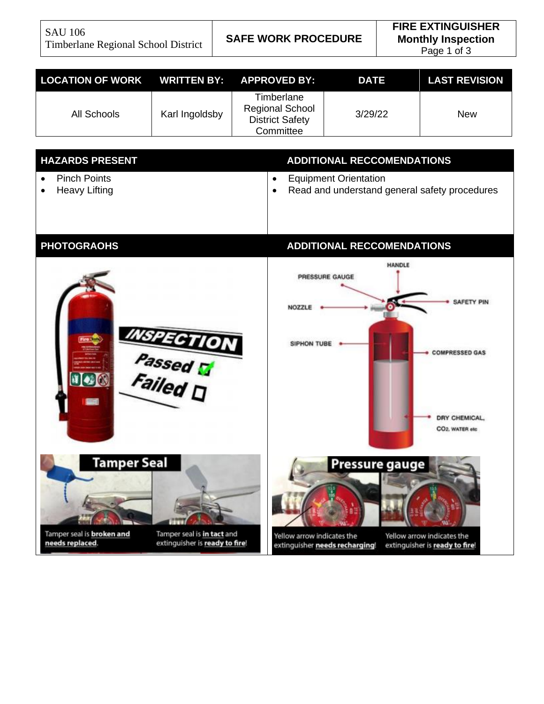SAU 106 Timberlane Regional School District **SAFE WORK PROCEDURE**

| LOCATION OF WORK WRITTEN BY: APPROVED BY: |                |                                                                             | <b>DATE</b> | <b>LAST REVISION</b> |
|-------------------------------------------|----------------|-----------------------------------------------------------------------------|-------------|----------------------|
| All Schools                               | Karl Ingoldsby | Timberlane<br><b>Regional School</b><br><b>District Safety</b><br>Committee | 3/29/22     | New                  |

| <b>HAZARDS PRESENT</b>                      | <b>ADDITIONAL RECCOMENDATIONS</b>                                                               |  |  |
|---------------------------------------------|-------------------------------------------------------------------------------------------------|--|--|
| <b>Pinch Points</b><br><b>Heavy Lifting</b> | <b>Equipment Orientation</b><br>$\bullet$<br>Read and understand general safety procedures<br>٠ |  |  |
| <b>PHOTOGRAOHS</b>                          | <b>ADDITIONAL RECCOMENDATIONS</b>                                                               |  |  |
|                                             | HANDLE<br>PRESSURE GAUGE                                                                        |  |  |

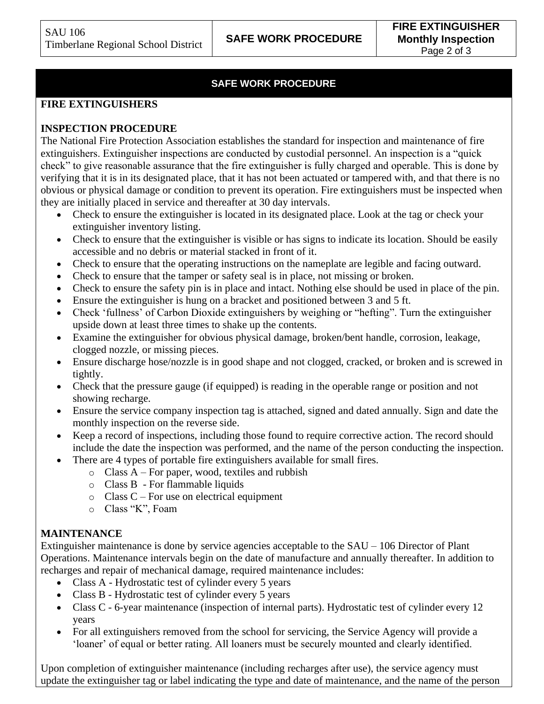## **SAFE WORK PROCEDURE**

#### **FIRE EXTINGUISHERS**

#### **INSPECTION PROCEDURE**

The National Fire Protection Association establishes the standard for inspection and maintenance of fire extinguishers. Extinguisher inspections are conducted by custodial personnel. An inspection is a "quick check" to give reasonable assurance that the fire extinguisher is fully charged and operable. This is done by verifying that it is in its designated place, that it has not been actuated or tampered with, and that there is no obvious or physical damage or condition to prevent its operation. Fire extinguishers must be inspected when they are initially placed in service and thereafter at 30 day intervals.

- Check to ensure the extinguisher is located in its designated place. Look at the tag or check your extinguisher inventory listing.
- Check to ensure that the extinguisher is visible or has signs to indicate its location. Should be easily accessible and no debris or material stacked in front of it.
- Check to ensure that the operating instructions on the nameplate are legible and facing outward.
- Check to ensure that the tamper or safety seal is in place, not missing or broken.
- Check to ensure the safety pin is in place and intact. Nothing else should be used in place of the pin.
- Ensure the extinguisher is hung on a bracket and positioned between 3 and 5 ft.
- Check 'fullness' of Carbon Dioxide extinguishers by weighing or "hefting". Turn the extinguisher upside down at least three times to shake up the contents.
- Examine the extinguisher for obvious physical damage, broken/bent handle, corrosion, leakage, clogged nozzle, or missing pieces.
- Ensure discharge hose/nozzle is in good shape and not clogged, cracked, or broken and is screwed in tightly.
- Check that the pressure gauge (if equipped) is reading in the operable range or position and not showing recharge.
- Ensure the service company inspection tag is attached, signed and dated annually. Sign and date the monthly inspection on the reverse side.
- Keep a record of inspections, including those found to require corrective action. The record should include the date the inspection was performed, and the name of the person conducting the inspection.
- There are 4 types of portable fire extinguishers available for small fires.
	- $\circ$  Class A For paper, wood, textiles and rubbish
	- o Class B For flammable liquids
	- $\circ$  Class C For use on electrical equipment
	- o Class "K", Foam

### **MAINTENANCE**

Extinguisher maintenance is done by service agencies acceptable to the SAU – 106 Director of Plant Operations. Maintenance intervals begin on the date of manufacture and annually thereafter. In addition to recharges and repair of mechanical damage, required maintenance includes:

- Class A Hydrostatic test of cylinder every 5 years
	- Class B Hydrostatic test of cylinder every 5 years
- Class C 6-year maintenance (inspection of internal parts). Hydrostatic test of cylinder every 12 years
- For all extinguishers removed from the school for servicing, the Service Agency will provide a 'loaner' of equal or better rating. All loaners must be securely mounted and clearly identified.

Upon completion of extinguisher maintenance (including recharges after use), the service agency must update the extinguisher tag or label indicating the type and date of maintenance, and the name of the person